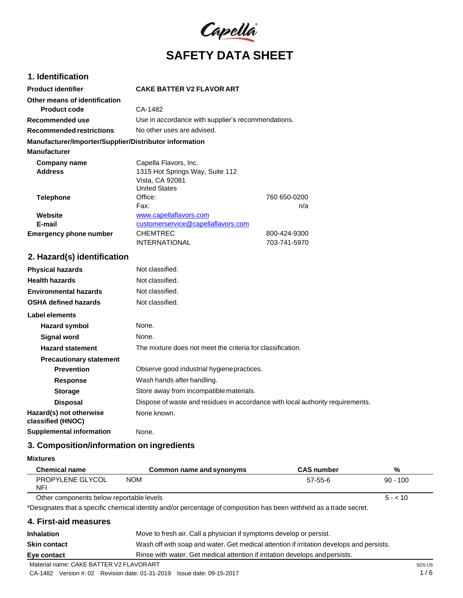

# **1. Identification**

| <b>Product identifier</b>                              | <b>CAKE BATTER V2 FLAVOR ART</b>                   |              |
|--------------------------------------------------------|----------------------------------------------------|--------------|
| Other means of identification                          |                                                    |              |
| <b>Product code</b>                                    | CA-1482                                            |              |
| Recommended use                                        | Use in accordance with supplier's recommendations. |              |
| Recommended restrictions                               | No other uses are advised.                         |              |
| Manufacturer/Importer/Supplier/Distributor information |                                                    |              |
| <b>Manufacturer</b>                                    |                                                    |              |
| Company name                                           | Capella Flavors, Inc.                              |              |
| <b>Address</b>                                         | 1315 Hot Springs Way, Suite 112                    |              |
|                                                        | Vista, CA 92081                                    |              |
|                                                        | <b>United States</b>                               |              |
| <b>Telephone</b>                                       | Office:                                            | 760 650-0200 |
|                                                        | Fax:                                               | n/a          |
| Website                                                | www.capellaflavors.com                             |              |
| E-mail                                                 | customerservice@capellaflavors.com                 |              |
| <b>Emergency phone number</b>                          | <b>CHEMTREC</b>                                    | 800-424-9300 |
|                                                        | <b>INTERNATIONAL</b>                               | 703-741-5970 |

# **2. Hazard(s) identification**

| <b>Physical hazards</b>                      | Not classified.                                                                |
|----------------------------------------------|--------------------------------------------------------------------------------|
| <b>Health hazards</b>                        | Not classified.                                                                |
| <b>Environmental hazards</b>                 | Not classified.                                                                |
| <b>OSHA defined hazards</b>                  | Not classified.                                                                |
| Label elements                               |                                                                                |
| Hazard symbol                                | None.                                                                          |
| Signal word                                  | None.                                                                          |
| <b>Hazard statement</b>                      | The mixture does not meet the criteria for classification.                     |
| <b>Precautionary statement</b>               |                                                                                |
| <b>Prevention</b>                            | Observe good industrial hygiene practices.                                     |
| <b>Response</b>                              | Wash hands after handling.                                                     |
| <b>Storage</b>                               | Store away from incompatible materials.                                        |
| <b>Disposal</b>                              | Dispose of waste and residues in accordance with local authority requirements. |
| Hazard(s) not otherwise<br>classified (HNOC) | None known.                                                                    |
| <b>Supplemental information</b>              | None.                                                                          |

# **3. Composition/information on ingredients**

**Mixtures**

| <b>Chemical name</b>                     | Common name and synonyms                                                                                            | <b>CAS number</b> | %          |
|------------------------------------------|---------------------------------------------------------------------------------------------------------------------|-------------------|------------|
| PROPYLENE GLYCOL<br><b>NFI</b>           | <b>NOM</b>                                                                                                          | $57-55-6$         | $90 - 100$ |
| Other components below reportable levels |                                                                                                                     |                   | $5 - 10$   |
|                                          | *Designates that a specific chemical identity and/or percentage of composition has been withheld as a trade secret. |                   |            |
| 4. First-aid measures                    |                                                                                                                     |                   |            |
| Inhalation                               | Move to fresh air. Call a physician if symptoms develop or persist.                                                 |                   |            |

| Material name: CAKE BATTER V2 FLAVORART |                                                                                          |
|-----------------------------------------|------------------------------------------------------------------------------------------|
| Eye contact                             | Rinse with water. Get medical attention if irritation develops and persists.             |
| <b>Skin contact</b>                     | Wash off with soap and water. Get medical attention if irritation develops and persists. |
| Inhalation                              | Move to fresh air. Call a physician if symptoms develop or persist.                      |

CA-1482 Version #: 02 Revision date: 01-31-2019 Issue date: 09-15-2017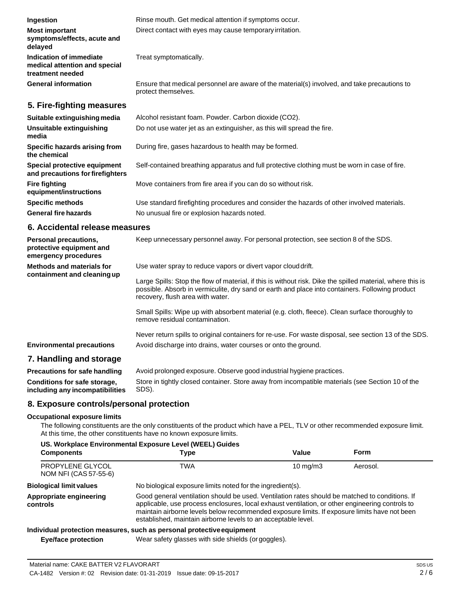| Ingestion                                                                    | Rinse mouth. Get medical attention if symptoms occur.                                                               |
|------------------------------------------------------------------------------|---------------------------------------------------------------------------------------------------------------------|
| <b>Most important</b><br>symptoms/effects, acute and<br>delayed              | Direct contact with eyes may cause temporary irritation.                                                            |
| Indication of immediate<br>medical attention and special<br>treatment needed | Treat symptomatically.                                                                                              |
| <b>General information</b>                                                   | Ensure that medical personnel are aware of the material(s) involved, and take precautions to<br>protect themselves. |
| 5. Fire-fighting measures                                                    |                                                                                                                     |
| Suitable extinguishing media                                                 | Alcohol resistant foam. Powder. Carbon dioxide (CO2).                                                               |
| Unsuitable extinguishing<br>media                                            | Do not use water jet as an extinguisher, as this will spread the fire.                                              |
| Specific hazards arising from<br>the chemical                                | During fire, gases hazardous to health may be formed.                                                               |

**and precautions forfirefighters** Self-contained breathing apparatus and full protective clothing must be worn in case of fire.

Move containers from fire area if you can do so without risk.

**Specific methods General fire hazards** Use standard firefighting procedures and consider the hazards of other involved materials. No unusual fire or explosion hazards noted.

### **6. Accidental release measures**

**Special protective equipment**

**equipment/instructions**

**Fire fighting**

| <b>Personal precautions,</b><br>protective equipment and<br>emergency procedures | Keep unnecessary personnel away. For personal protection, see section 8 of the SDS.                                                                                                                                                               |
|----------------------------------------------------------------------------------|---------------------------------------------------------------------------------------------------------------------------------------------------------------------------------------------------------------------------------------------------|
| Methods and materials for<br>containment and cleaning up                         | Use water spray to reduce vapors or divert vapor cloud drift.                                                                                                                                                                                     |
|                                                                                  | Large Spills: Stop the flow of material, if this is without risk. Dike the spilled material, where this is<br>possible. Absorb in vermiculite, dry sand or earth and place into containers. Following product<br>recovery, flush area with water. |
|                                                                                  | Small Spills: Wipe up with absorbent material (e.g. cloth, fleece). Clean surface thoroughly to<br>remove residual contamination.                                                                                                                 |
|                                                                                  | Never return spills to original containers for re-use. For waste disposal, see section 13 of the SDS.                                                                                                                                             |
| <b>Environmental precautions</b>                                                 | Avoid discharge into drains, water courses or onto the ground.                                                                                                                                                                                    |
| 7. Handling and storage                                                          |                                                                                                                                                                                                                                                   |

# **7. Handling and storage**

| <b>Precautions for safe handling</b> | Avoid prolonged exposure. Observe good industrial hygiene practices.                             |
|--------------------------------------|--------------------------------------------------------------------------------------------------|
| Conditions for safe storage,         | Store in tightly closed container. Store away from incompatible materials (see Section 10 of the |
| including any incompatibilities      | SDS).                                                                                            |

# **8. Exposure controls/personal protection**

#### **Occupational exposure limits**

The following constituents are the only constituents of the product which have a PEL, TLV or other recommended exposure limit. At this time, the other constituents have no known exposure limits.

| US. Workplace Environmental Exposure Level (WEEL) Guides |                                                                                                                                                                                                                                                                                                                                                                    |                   |          |
|----------------------------------------------------------|--------------------------------------------------------------------------------------------------------------------------------------------------------------------------------------------------------------------------------------------------------------------------------------------------------------------------------------------------------------------|-------------------|----------|
| <b>Components</b>                                        | Type                                                                                                                                                                                                                                                                                                                                                               | Value             | Form     |
| PROPYLENE GLYCOL<br>NOM NFI (CAS 57-55-6)                | TWA                                                                                                                                                                                                                                                                                                                                                                | $10 \text{ mg/m}$ | Aerosol. |
| <b>Biological limit values</b>                           | No biological exposure limits noted for the ingredient(s).                                                                                                                                                                                                                                                                                                         |                   |          |
| Appropriate engineering<br>controls                      | Good general ventilation should be used. Ventilation rates should be matched to conditions. If<br>applicable, use process enclosures, local exhaust ventilation, or other engineering controls to<br>maintain airborne levels below recommended exposure limits. If exposure limits have not been<br>established, maintain airborne levels to an acceptable level. |                   |          |
|                                                          | Individual protection measures, such as personal protective equipment                                                                                                                                                                                                                                                                                              |                   |          |
| <b>Eye/face protection</b>                               | Wear safety glasses with side shields (or goggles).                                                                                                                                                                                                                                                                                                                |                   |          |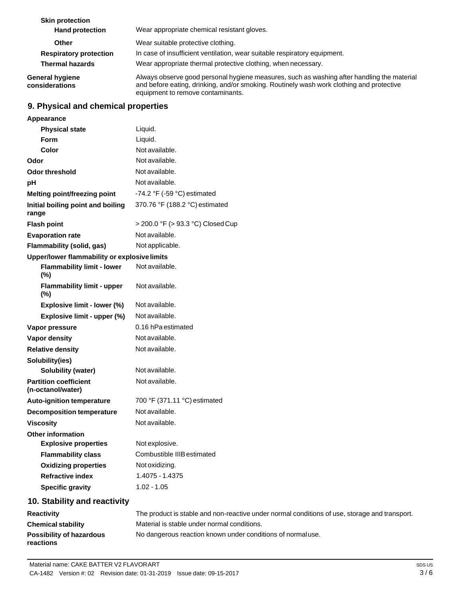| <b>Skin protection</b><br><b>Hand protection</b> | Wear appropriate chemical resistant gloves.                                                                                                                                                                                 |
|--------------------------------------------------|-----------------------------------------------------------------------------------------------------------------------------------------------------------------------------------------------------------------------------|
| <b>Other</b>                                     | Wear suitable protective clothing.                                                                                                                                                                                          |
| <b>Respiratory protection</b>                    | In case of insufficient ventilation, wear suitable respiratory equipment.                                                                                                                                                   |
| <b>Thermal hazards</b>                           | Wear appropriate thermal protective clothing, when necessary.                                                                                                                                                               |
| <b>General hygiene</b><br>considerations         | Always observe good personal hygiene measures, such as washing after handling the material<br>and before eating, drinking, and/or smoking. Routinely wash work clothing and protective<br>equipment to remove contaminants. |

# **9. Physical and chemical properties**

| Appearance                                        |                                   |
|---------------------------------------------------|-----------------------------------|
| <b>Physical state</b>                             | Liquid.                           |
| Form                                              | Liquid.                           |
| <b>Color</b>                                      | Not available.                    |
| Odor                                              | Not available.                    |
| <b>Odor threshold</b>                             | Not available.                    |
| pH                                                | Not available.                    |
| Melting point/freezing point                      | -74.2 °F (-59 °C) estimated       |
| Initial boiling point and boiling<br>range        | 370.76 °F (188.2 °C) estimated    |
| <b>Flash point</b>                                | > 200.0 °F (> 93.3 °C) Closed Cup |
| <b>Evaporation rate</b>                           | Not available.                    |
| Flammability (solid, gas)                         | Not applicable.                   |
| Upper/lower flammability or explosive limits      |                                   |
| <b>Flammability limit - lower</b><br>(%)          | Not available.                    |
| <b>Flammability limit - upper</b><br>(%)          | Not available.                    |
| Explosive limit - lower (%)                       | Not available.                    |
| Explosive limit - upper (%)                       | Not available.                    |
| Vapor pressure                                    | 0.16 hPa estimated                |
| Vapor density                                     | Not available.                    |
| <b>Relative density</b>                           | Not available.                    |
| Solubility(ies)                                   |                                   |
| <b>Solubility (water)</b>                         | Not available.                    |
| <b>Partition coefficient</b><br>(n-octanol/water) | Not available.                    |
| <b>Auto-ignition temperature</b>                  | 700 °F (371.11 °C) estimated      |
| <b>Decomposition temperature</b>                  | Not available.                    |
| <b>Viscosity</b>                                  | Not available.                    |
| <b>Other information</b>                          |                                   |
| <b>Explosive properties</b>                       | Not explosive.                    |
| <b>Flammability class</b>                         | Combustible IIIB estimated        |
| <b>Oxidizing properties</b>                       | Not oxidizing.                    |
| <b>Refractive index</b>                           | 1.4075 - 1.4375                   |
| <b>Specific gravity</b>                           | $1.02 - 1.05$                     |
| 10. Stability and reactivity                      |                                   |

| <b>Reactivity</b>                            | The product is stable and non-reactive under normal conditions of use, storage and transport. |
|----------------------------------------------|-----------------------------------------------------------------------------------------------|
| <b>Chemical stability</b>                    | Material is stable under normal conditions.                                                   |
| <b>Possibility of hazardous</b><br>reactions | No dangerous reaction known under conditions of normaluse.                                    |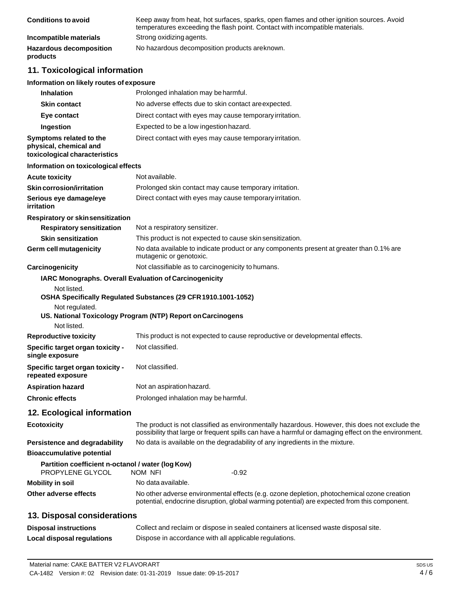| <b>Conditions to avoid</b>                 | Keep away from heat, hot surfaces, sparks, open flames and other ignition sources. Avoid<br>temperatures exceeding the flash point. Contact with incompatible materials. |
|--------------------------------------------|--------------------------------------------------------------------------------------------------------------------------------------------------------------------------|
| Incompatible materials                     | Strong oxidizing agents.                                                                                                                                                 |
| <b>Hazardous decomposition</b><br>products | No hazardous decomposition products are known.                                                                                                                           |
|                                            |                                                                                                                                                                          |

# **11. Toxicological information**

# **Information on likely routes of exposure**

| <b>Inhalation</b>                                                                   | Prolonged inhalation may be harmful.                                                                                                                                                                  |
|-------------------------------------------------------------------------------------|-------------------------------------------------------------------------------------------------------------------------------------------------------------------------------------------------------|
| <b>Skin contact</b>                                                                 | No adverse effects due to skin contact are expected.                                                                                                                                                  |
| Eye contact                                                                         | Direct contact with eyes may cause temporary irritation.                                                                                                                                              |
| Ingestion                                                                           | Expected to be a low ingestion hazard.                                                                                                                                                                |
| Symptoms related to the<br>physical, chemical and<br>toxicological characteristics  | Direct contact with eyes may cause temporary irritation.                                                                                                                                              |
| Information on toxicological effects                                                |                                                                                                                                                                                                       |
| <b>Acute toxicity</b>                                                               | Not available.                                                                                                                                                                                        |
| <b>Skin corrosion/irritation</b>                                                    | Prolonged skin contact may cause temporary irritation.                                                                                                                                                |
| Serious eye damage/eye<br>irritation                                                | Direct contact with eyes may cause temporary irritation.                                                                                                                                              |
| <b>Respiratory or skinsensitization</b>                                             |                                                                                                                                                                                                       |
| <b>Respiratory sensitization</b>                                                    | Not a respiratory sensitizer.                                                                                                                                                                         |
| <b>Skin sensitization</b>                                                           | This product is not expected to cause skin sensitization.                                                                                                                                             |
| <b>Germ cell mutagenicity</b>                                                       | No data available to indicate product or any components present at greater than 0.1% are<br>mutagenic or genotoxic.                                                                                   |
| Carcinogenicity                                                                     | Not classifiable as to carcinogenicity to humans.                                                                                                                                                     |
|                                                                                     | IARC Monographs. Overall Evaluation of Carcinogenicity                                                                                                                                                |
| Not listed.<br>Not regulated.                                                       | OSHA Specifically Regulated Substances (29 CFR 1910.1001-1052)<br>US. National Toxicology Program (NTP) Report on Carcinogens                                                                         |
| Not listed.                                                                         |                                                                                                                                                                                                       |
| <b>Reproductive toxicity</b><br>Specific target organ toxicity -<br>single exposure | This product is not expected to cause reproductive or developmental effects.<br>Not classified.                                                                                                       |
| Specific target organ toxicity -<br>repeated exposure                               | Not classified.                                                                                                                                                                                       |
| <b>Aspiration hazard</b>                                                            | Not an aspiration hazard.                                                                                                                                                                             |
| <b>Chronic effects</b>                                                              | Prolonged inhalation may be harmful.                                                                                                                                                                  |
| 12. Ecological information                                                          |                                                                                                                                                                                                       |
| <b>Ecotoxicity</b>                                                                  | The product is not classified as environmentally hazardous. However, this does not exclude the<br>possibility that large or frequent spills can have a harmful or damaging effect on the environment. |
| <b>Persistence and degradability</b>                                                | No data is available on the degradability of any ingredients in the mixture.                                                                                                                          |
| <b>Bioaccumulative potential</b>                                                    |                                                                                                                                                                                                       |
| Partition coefficient n-octanol / water (log Kow)<br>PROPYLENE GLYCOL               | $-0.92$<br>NOM NFI                                                                                                                                                                                    |
| <b>Mobility in soil</b>                                                             | No data available.                                                                                                                                                                                    |
| Other adverse effects                                                               | No other adverse environmental effects (e.g. ozone depletion, photochemical ozone creation<br>potential, endocrine disruption, global warming potential) are expected from this component.            |
| 13. Disposal considerations                                                         |                                                                                                                                                                                                       |
| <b>Disposal instructions</b>                                                        | Collect and reclaim or dispose in sealed containers at licensed waste disposal site.                                                                                                                  |
|                                                                                     |                                                                                                                                                                                                       |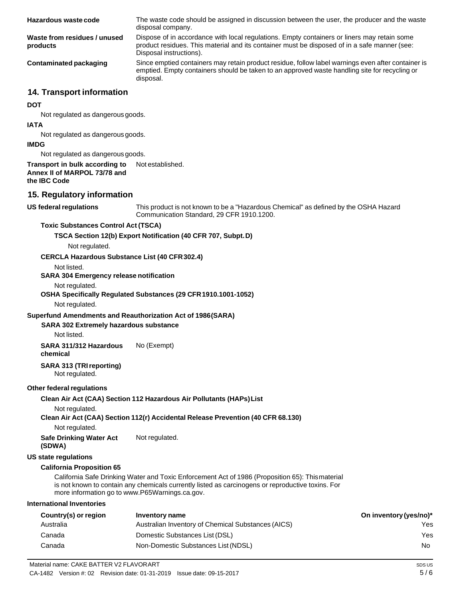| Hazardous waste code                     | The waste code should be assigned in discussion between the user, the producer and the waste<br>disposal company.                                                                                                      |
|------------------------------------------|------------------------------------------------------------------------------------------------------------------------------------------------------------------------------------------------------------------------|
| Waste from residues / unused<br>products | Dispose of in accordance with local regulations. Empty containers or liners may retain some<br>product residues. This material and its container must be disposed of in a safe manner (see:<br>Disposal instructions). |
| Contaminated packaging                   | Since emptied containers may retain product residue, follow label warnings even after container is<br>emptied. Empty containers should be taken to an approved waste handling site for recycling or<br>disposal.       |
| 14. Transport information                |                                                                                                                                                                                                                        |

#### **DOT**

Not regulated as dangerous goods.

#### **IATA**

Not regulated as dangerous goods.

#### **IMDG**

Not regulated as dangerous goods.

#### **Transport in bulk according to Annex II of MARPOL 73/78 and the IBC Code** Not established.

# **15. Regulatory information**

#### **US** federal regulations

This product is not known to be a "Hazardous Chemical" as defined by the OSHA Hazard Communication Standard, 29 CFR 1910.1200.

#### **Toxic Substances Control Act (TSCA)**

**TSCA Section 12(b) Export Notification (40 CFR 707, Subpt.D)**

Not regulated.

### **CERCLA Hazardous Substance List (40 CFR302.4)**

Not listed.

#### **SARA 304 Emergency release notification**

#### Not regulated.

### **OSHA Specifically Regulated Substances (29 CFR1910.1001-1052)**

Not regulated.

### **Superfund Amendments and Reauthorization Act of 1986(SARA)**

#### **SARA 302 Extremely hazardous substance**

Not listed.

**SARA 311/312 Hazardous chemical** No (Exempt)

### **SARA 313 (TRIreporting)**

Not regulated.

#### **Other federal regulations**

#### **Clean Air Act (CAA) Section 112 Hazardous Air Pollutants (HAPs)List**

Not regulated.

# **Clean Air Act (CAA) Section 112(r) Accidental Release Prevention (40 CFR 68.130)**

Not regulated.

**Safe Drinking Water Act (SDWA)** Not regulated.

# **US state regulations**

# **California Proposition 65**

California Safe Drinking Water and Toxic Enforcement Act of 1986 (Proposition 65): Thismaterial is not known to contain any chemicals currently listed as carcinogens or reproductive toxins. For more information go to [www.P65Warnings.ca.gov.](http://www.p65warnings.ca.gov/)

# **International Inventories**

| Country(s) or region | Inventory name                                     | On inventory (yes/no)* |
|----------------------|----------------------------------------------------|------------------------|
| Australia            | Australian Inventory of Chemical Substances (AICS) | Yes                    |
| Canada               | Domestic Substances List (DSL)                     | Yes                    |
| Canada               | Non-Domestic Substances List (NDSL)                | No.                    |